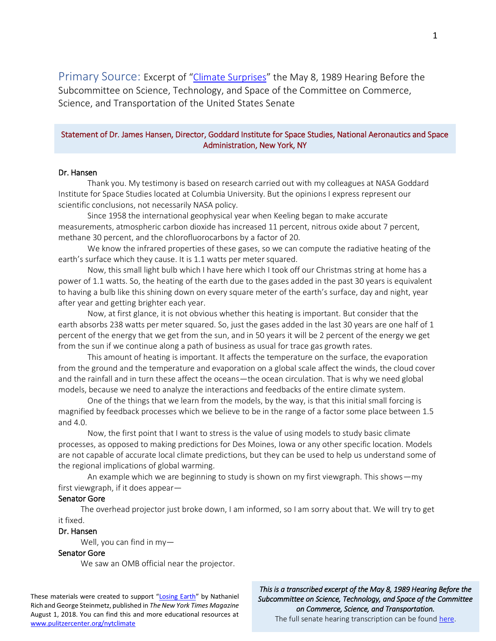Primary Source: Excerpt of "[Climate Surprises](https://babel.hathitrust.org/cgi/pt?id=uc1.b5176796;view=1up;seq=150)" the May 8, 1989 Hearing Before the Subcommittee on Science, Technology, and Space of the Committee on Commerce, Science, and Transportation of the United States Senate

# Statement of Dr. James Hansen, Director, Goddard Institute for Space Studies, National Aeronautics and Space Administration, New York, NY

## Dr. Hansen

Thank you. My testimony is based on research carried out with my colleagues at NASA Goddard Institute for Space Studies located at Columbia University. But the opinions I express represent our scientific conclusions, not necessarily NASA policy.

Since 1958 the international geophysical year when Keeling began to make accurate measurements, atmospheric carbon dioxide has increased 11 percent, nitrous oxide about 7 percent, methane 30 percent, and the chlorofluorocarbons by a factor of 20.

We know the infrared properties of these gases, so we can compute the radiative heating of the earth's surface which they cause. It is 1.1 watts per meter squared.

Now, this small light bulb which I have here which I took off our Christmas string at home has a power of 1.1 watts. So, the heating of the earth due to the gases added in the past 30 years is equivalent to having a bulb like this shining down on every square meter of the earth's surface, day and night, year after year and getting brighter each year.

Now, at first glance, it is not obvious whether this heating is important. But consider that the earth absorbs 238 watts per meter squared. So, just the gases added in the last 30 years are one half of 1 percent of the energy that we get from the sun, and in 50 years it will be 2 percent of the energy we get from the sun if we continue along a path of business as usual for trace gas growth rates.

This amount of heating is important. It affects the temperature on the surface, the evaporation from the ground and the temperature and evaporation on a global scale affect the winds, the cloud cover and the rainfall and in turn these affect the oceans—the ocean circulation. That is why we need global models, because we need to analyze the interactions and feedbacks of the entire climate system.

One of the things that we learn from the models, by the way, is that this initial small forcing is magnified by feedback processes which we believe to be in the range of a factor some place between 1.5 and 4.0.

Now, the first point that I want to stress is the value of using models to study basic climate processes, as opposed to making predictions for Des Moines, Iowa or any other specific location. Models are not capable of accurate local climate predictions, but they can be used to help us understand some of the regional implications of global warming.

An example which we are beginning to study is shown on my first viewgraph. This shows—my first viewgraph, if it does appear—

### Senator Gore

 The overhead projector just broke down, I am informed, so I am sorry about that. We will try to get it fixed.

#### Dr. Hansen

Well, you can find in my—

## Senator Gore

We saw an OMB official near the projector.

These materials were created to support "[Losing Earth](http://www.pulitzercenter.org/projects/losing-earth)" by Nathaniel Rich and George Steinmetz, published in *The New York Times Magazine*  August 1, 2018. You can find this and more educational resources at [www.pulitzercenter.org/nytclimate](http://www.pulitzercenter.org/nytclimate)

*This is a transcribed excerpt of the May 8, 1989 Hearing Before the Subcommittee on Science, Technology, and Space of the Committee on Commerce, Science, and Transportation.* The full senate hearing transcription can be found [here.](https://babel.hathitrust.org/cgi/pt?id=uc1.b5176796;view=1up;seq=150)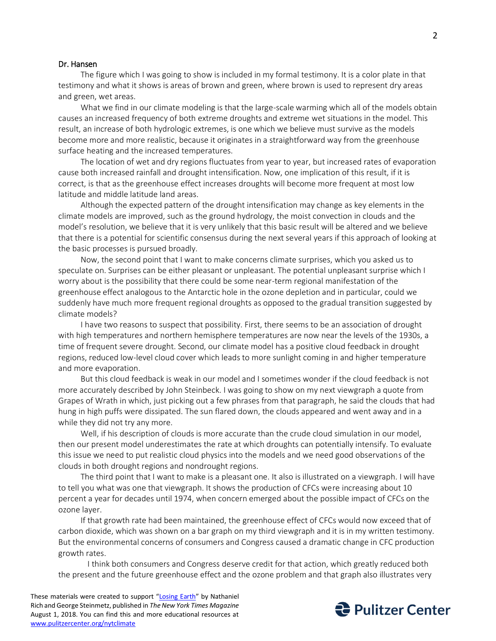## Dr. Hansen

 The figure which I was going to show is included in my formal testimony. It is a color plate in that testimony and what it shows is areas of brown and green, where brown is used to represent dry areas and green, wet areas.

 What we find in our climate modeling is that the large-scale warming which all of the models obtain causes an increased frequency of both extreme droughts and extreme wet situations in the model. This result, an increase of both hydrologic extremes, is one which we believe must survive as the models become more and more realistic, because it originates in a straightforward way from the greenhouse surface heating and the increased temperatures.

 The location of wet and dry regions fluctuates from year to year, but increased rates of evaporation cause both increased rainfall and drought intensification. Now, one implication of this result, if it is correct, is that as the greenhouse effect increases droughts will become more frequent at most low latitude and middle latitude land areas.

 Although the expected pattern of the drought intensification may change as key elements in the climate models are improved, such as the ground hydrology, the moist convection in clouds and the model's resolution, we believe that it is very unlikely that this basic result will be altered and we believe that there is a potential for scientific consensus during the next several years if this approach of looking at the basic processes is pursued broadly.

 Now, the second point that I want to make concerns climate surprises, which you asked us to speculate on. Surprises can be either pleasant or unpleasant. The potential unpleasant surprise which I worry about is the possibility that there could be some near-term regional manifestation of the greenhouse effect analogous to the Antarctic hole in the ozone depletion and in particular, could we suddenly have much more frequent regional droughts as opposed to the gradual transition suggested by climate models?

 I have two reasons to suspect that possibility. First, there seems to be an association of drought with high temperatures and northern hemisphere temperatures are now near the levels of the 1930s, a time of frequent severe drought. Second, our climate model has a positive cloud feedback in drought regions, reduced low-level cloud cover which leads to more sunlight coming in and higher temperature and more evaporation.

 But this cloud feedback is weak in our model and I sometimes wonder if the cloud feedback is not more accurately described by John Steinbeck. I was going to show on my next viewgraph a quote from Grapes of Wrath in which, just picking out a few phrases from that paragraph, he said the clouds that had hung in high puffs were dissipated. The sun flared down, the clouds appeared and went away and in a while they did not try any more.

 Well, if his description of clouds is more accurate than the crude cloud simulation in our model, then our present model underestimates the rate at which droughts can potentially intensify. To evaluate this issue we need to put realistic cloud physics into the models and we need good observations of the clouds in both drought regions and nondrought regions.

 The third point that I want to make is a pleasant one. It also is illustrated on a viewgraph. I will have to tell you what was one that viewgraph. It shows the production of CFCs were increasing about 10 percent a year for decades until 1974, when concern emerged about the possible impact of CFCs on the ozone layer.

 If that growth rate had been maintained, the greenhouse effect of CFCs would now exceed that of carbon dioxide, which was shown on a bar graph on my third viewgraph and it is in my written testimony. But the environmental concerns of consumers and Congress caused a dramatic change in CFC production growth rates.

I think both consumers and Congress deserve credit for that action, which greatly reduced both the present and the future greenhouse effect and the ozone problem and that graph also illustrates very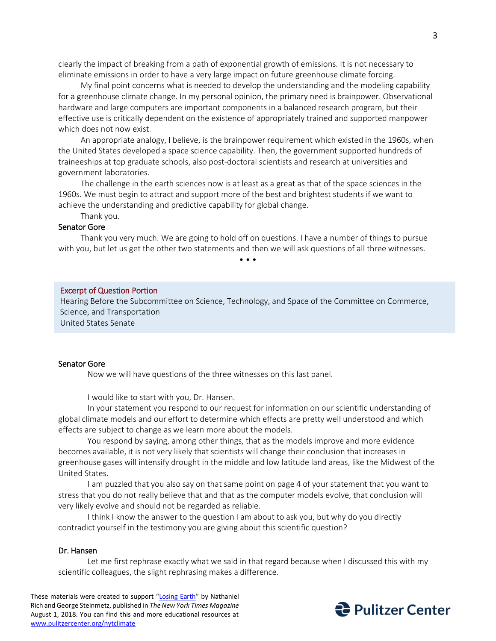clearly the impact of breaking from a path of exponential growth of emissions. It is not necessary to eliminate emissions in order to have a very large impact on future greenhouse climate forcing.

 My final point concerns what is needed to develop the understanding and the modeling capability for a greenhouse climate change. In my personal opinion, the primary need is brainpower. Observational hardware and large computers are important components in a balanced research program, but their effective use is critically dependent on the existence of appropriately trained and supported manpower which does not now exist.

 An appropriate analogy, I believe, is the brainpower requirement which existed in the 1960s, when the United States developed a space science capability. Then, the government supported hundreds of traineeships at top graduate schools, also post-doctoral scientists and research at universities and government laboratories.

 The challenge in the earth sciences now is at least as a great as that of the space sciences in the 1960s. We must begin to attract and support more of the best and brightest students if we want to achieve the understanding and predictive capability for global change.

Thank you.

# Senator Gore

 Thank you very much. We are going to hold off on questions. I have a number of things to pursue with you, but let us get the other two statements and then we will ask questions of all three witnesses.

• • •

#### Excerpt of Question Portion

Hearing Before the Subcommittee on Science, Technology, and Space of the Committee on Commerce, Science, and Transportation

United States Senate

# Senator Gore

Now we will have questions of the three witnesses on this last panel.

I would like to start with you, Dr. Hansen.

In your statement you respond to our request for information on our scientific understanding of global climate models and our effort to determine which effects are pretty well understood and which effects are subject to change as we learn more about the models.

You respond by saying, among other things, that as the models improve and more evidence becomes available, it is not very likely that scientists will change their conclusion that increases in greenhouse gases will intensify drought in the middle and low latitude land areas, like the Midwest of the United States.

I am puzzled that you also say on that same point on page 4 of your statement that you want to stress that you do not really believe that and that as the computer models evolve, that conclusion will very likely evolve and should not be regarded as reliable.

I think I know the answer to the question I am about to ask you, but why do you directly contradict yourself in the testimony you are giving about this scientific question?

### Dr. Hansen

Let me first rephrase exactly what we said in that regard because when I discussed this with my scientific colleagues, the slight rephrasing makes a difference.

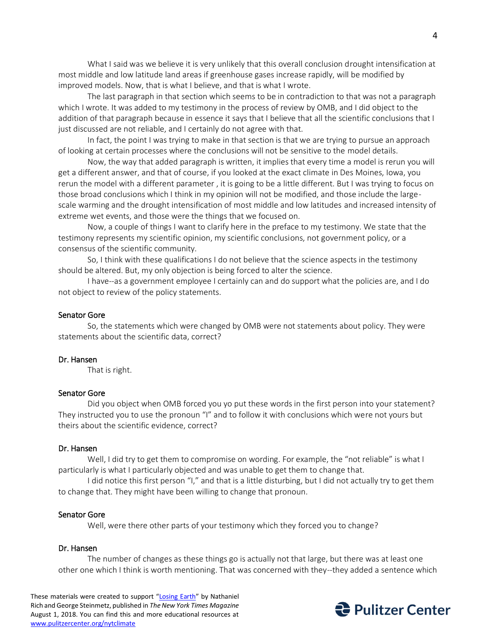What I said was we believe it is very unlikely that this overall conclusion drought intensification at most middle and low latitude land areas if greenhouse gases increase rapidly, will be modified by improved models. Now, that is what I believe, and that is what I wrote.

The last paragraph in that section which seems to be in contradiction to that was not a paragraph which I wrote. It was added to my testimony in the process of review by OMB, and I did object to the addition of that paragraph because in essence it says that I believe that all the scientific conclusions that I just discussed are not reliable, and I certainly do not agree with that.

In fact, the point I was trying to make in that section is that we are trying to pursue an approach of looking at certain processes where the conclusions will not be sensitive to the model details.

Now, the way that added paragraph is written, it implies that every time a model is rerun you will get a different answer, and that of course, if you looked at the exact climate in Des Moines, Iowa, you rerun the model with a different parameter , it is going to be a little different. But I was trying to focus on those broad conclusions which I think in my opinion will not be modified, and those include the largescale warming and the drought intensification of most middle and low latitudes and increased intensity of extreme wet events, and those were the things that we focused on.

Now, a couple of things I want to clarify here in the preface to my testimony. We state that the testimony represents my scientific opinion, my scientific conclusions, not government policy, or a consensus of the scientific community.

So, I think with these qualifications I do not believe that the science aspects in the testimony should be altered. But, my only objection is being forced to alter the science.

I have--as a government employee I certainly can and do support what the policies are, and I do not object to review of the policy statements.

### Senator Gore

So, the statements which were changed by OMB were not statements about policy. They were statements about the scientific data, correct?

### Dr. Hansen

That is right.

# Senator Gore

Did you object when OMB forced you yo put these words in the first person into your statement? They instructed you to use the pronoun "I" and to follow it with conclusions which were not yours but theirs about the scientific evidence, correct?

#### Dr. Hansen

Well, I did try to get them to compromise on wording. For example, the "not reliable" is what I particularly is what I particularly objected and was unable to get them to change that.

I did notice this first person "I," and that is a little disturbing, but I did not actually try to get them to change that. They might have been willing to change that pronoun.

#### Senator Gore

Well, were there other parts of your testimony which they forced you to change?

# Dr. Hansen

 The number of changes as these things go is actually not that large, but there was at least one other one which I think is worth mentioning. That was concerned with they--they added a sentence which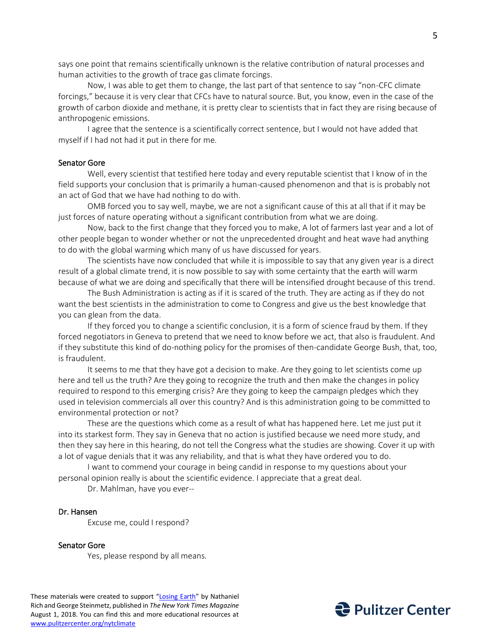says one point that remains scientifically unknown is the relative contribution of natural processes and human activities to the growth of trace gas climate forcings.

Now, I was able to get them to change, the last part of that sentence to say "non-CFC climate forcings," because it is very clear that CFCs have to natural source. But, you know, even in the case of the growth of carbon dioxide and methane, it is pretty clear to scientists that in fact they are rising because of anthropogenic emissions.

I agree that the sentence is a scientifically correct sentence, but I would not have added that myself if I had not had it put in there for me.

## Senator Gore

Well, every scientist that testified here today and every reputable scientist that I know of in the field supports your conclusion that is primarily a human-caused phenomenon and that is is probably not an act of God that we have had nothing to do with.

OMB forced you to say well, maybe, we are not a significant cause of this at all that if it may be just forces of nature operating without a significant contribution from what we are doing.

Now, back to the first change that they forced you to make, A lot of farmers last year and a lot of other people began to wonder whether or not the unprecedented drought and heat wave had anything to do with the global warming which many of us have discussed for years.

The scientists have now concluded that while it is impossible to say that any given year is a direct result of a global climate trend, it is now possible to say with some certainty that the earth will warm because of what we are doing and specifically that there will be intensified drought because of this trend.

The Bush Administration is acting as if it is scared of the truth. They are acting as if they do not want the best scientists in the administration to come to Congress and give us the best knowledge that you can glean from the data.

If they forced you to change a scientific conclusion, it is a form of science fraud by them. If they forced negotiators in Geneva to pretend that we need to know before we act, that also is fraudulent. And if they substitute this kind of do-nothing policy for the promises of then-candidate George Bush, that, too, is fraudulent.

It seems to me that they have got a decision to make. Are they going to let scientists come up here and tell us the truth? Are they going to recognize the truth and then make the changes in policy required to respond to this emerging crisis? Are they going to keep the campaign pledges which they used in television commercials all over this country? And is this administration going to be committed to environmental protection or not?

These are the questions which come as a result of what has happened here. Let me just put it into its starkest form. They say in Geneva that no action is justified because we need more study, and then they say here in this hearing, do not tell the Congress what the studies are showing. Cover it up with a lot of vague denials that it was any reliability, and that is what they have ordered you to do.

I want to commend your courage in being candid in response to my questions about your personal opinion really is about the scientific evidence. I appreciate that a great deal.

Dr. Mahlman, have you ever--

# Dr. Hansen

Excuse me, could I respond?

# Senator Gore

Yes, please respond by all means.